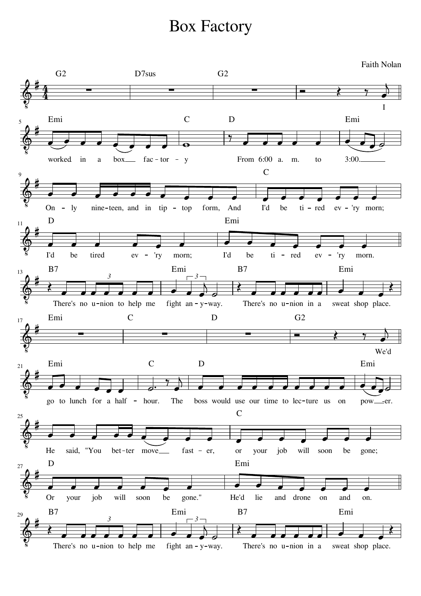#### Box Factory

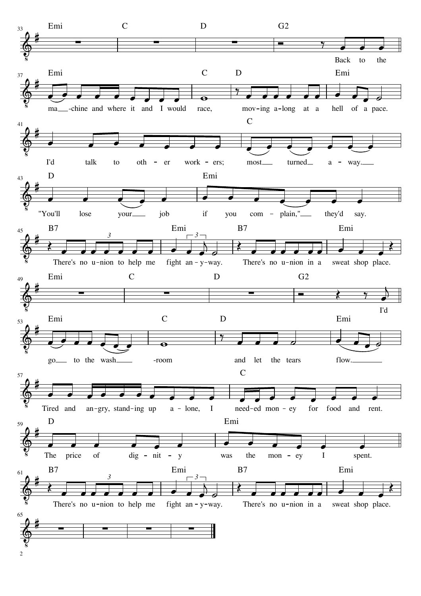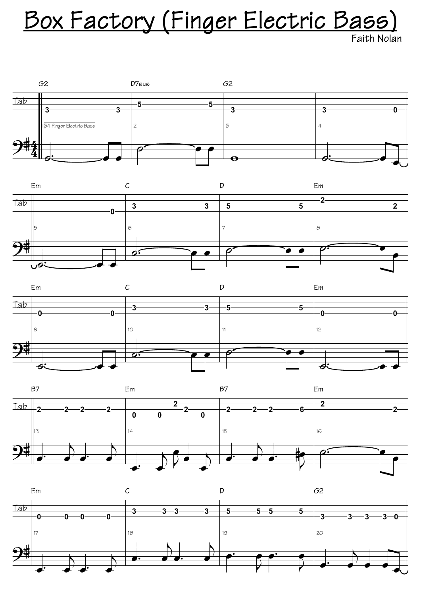# Box Factory (Finger Electric Bass)









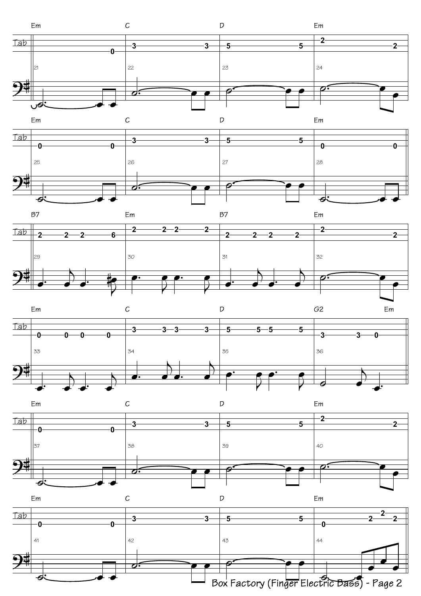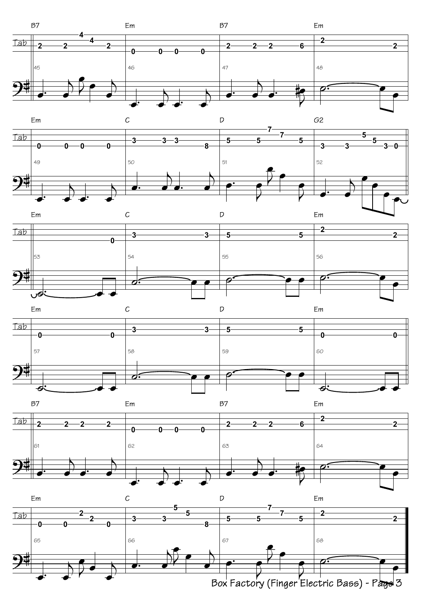









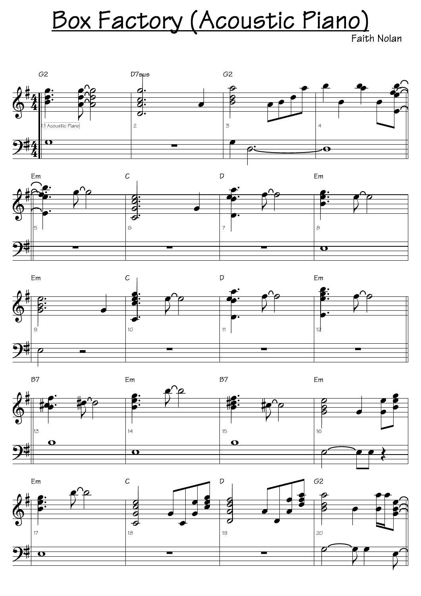### <u> Box Factory (Acoustic Piano)</u>









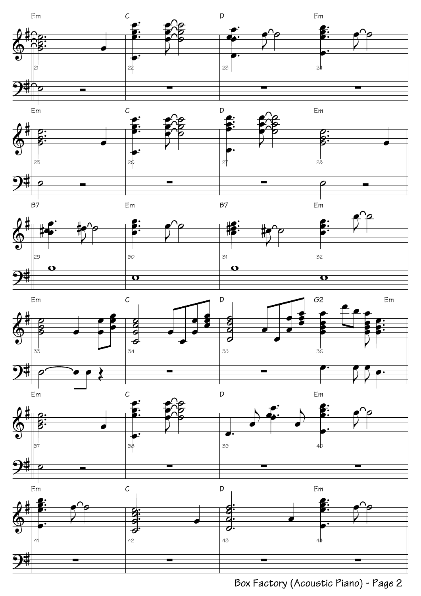

Box Factory (Acoustic Piano) - Page 2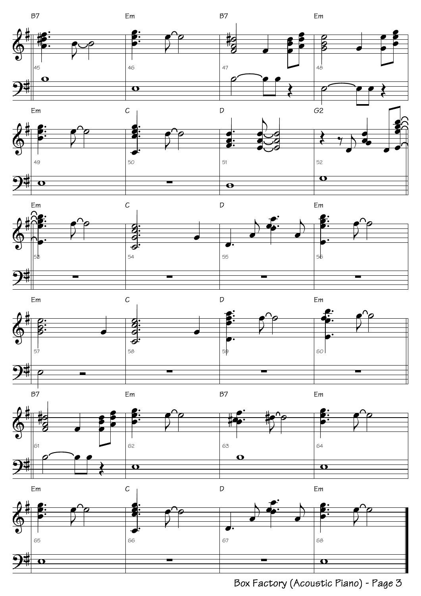

Box Factory (Acoustic Piano) - Page 3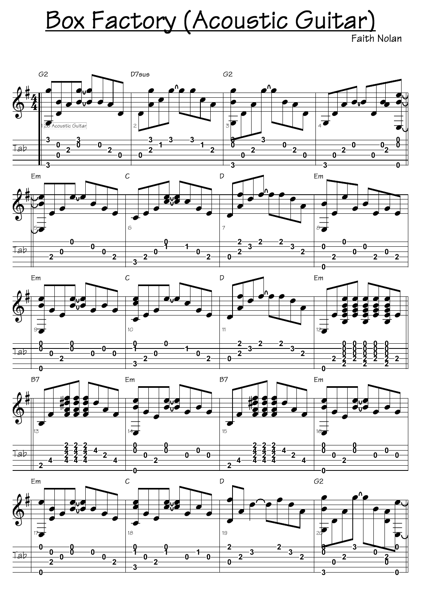#### <u> Box Factory (Acoustic Guitar)</u>

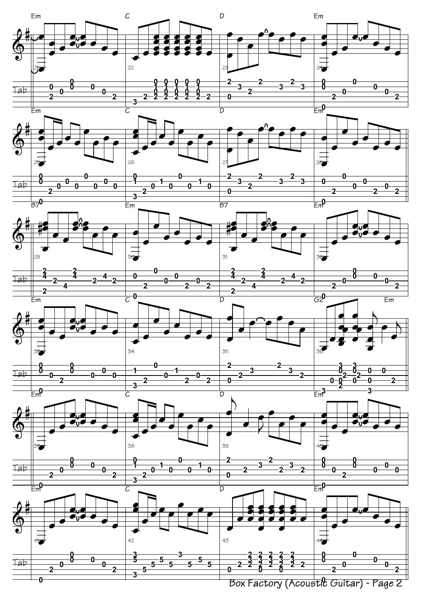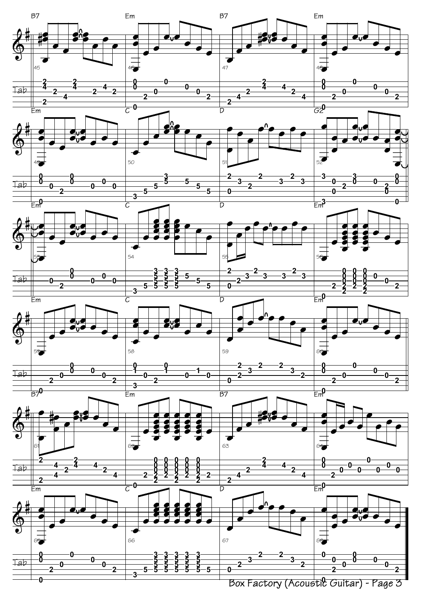

Box Factory (Acoustic Guitar) - Page 3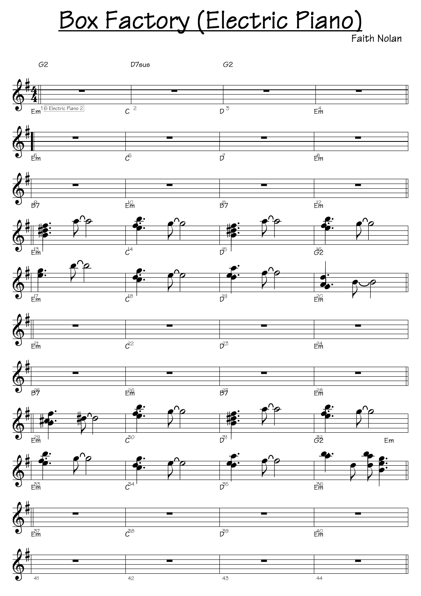## Box Factory (Electric Piano)

![](_page_11_Figure_2.jpeg)